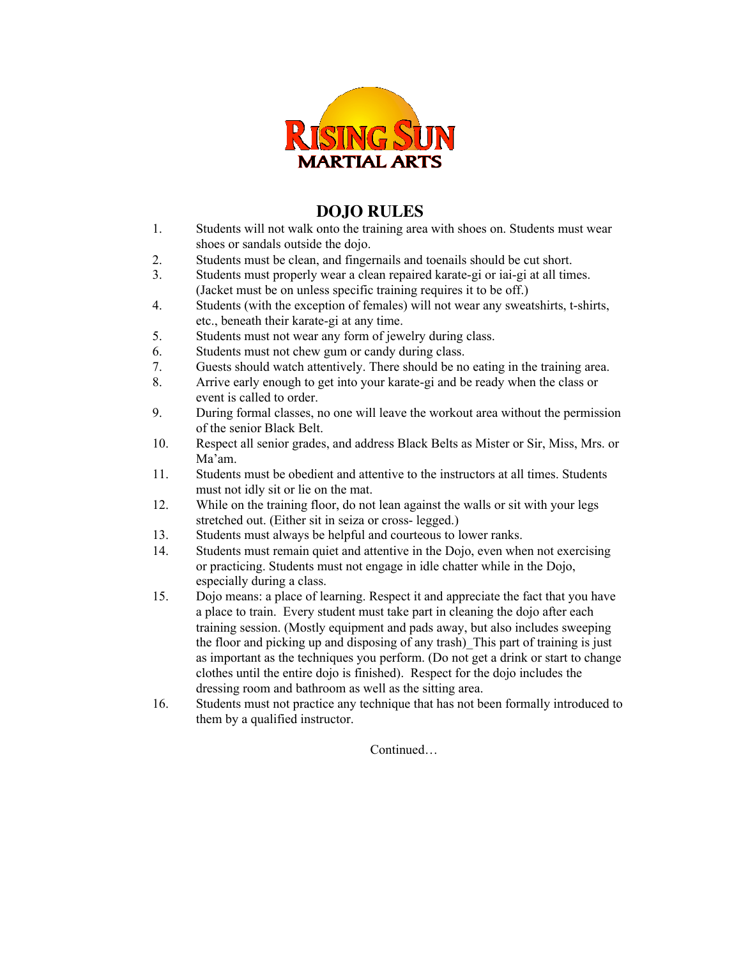

## **DOJO RULES**

- 1. Students will not walk onto the training area with shoes on. Students must wear shoes or sandals outside the dojo.
- 2. Students must be clean, and fingernails and toenails should be cut short.
- 3. Students must properly wear a clean repaired karate-gi or iai-gi at all times. (Jacket must be on unless specific training requires it to be off.)
- 4. Students (with the exception of females) will not wear any sweatshirts, t-shirts, etc., beneath their karate-gi at any time.
- 5. Students must not wear any form of jewelry during class.
- 6. Students must not chew gum or candy during class.
- 7. Guests should watch attentively. There should be no eating in the training area.
- 8. Arrive early enough to get into your karate-gi and be ready when the class or event is called to order.
- 9. During formal classes, no one will leave the workout area without the permission of the senior Black Belt.
- 10. Respect all senior grades, and address Black Belts as Mister or Sir, Miss, Mrs. or Ma'am.
- 11. Students must be obedient and attentive to the instructors at all times. Students must not idly sit or lie on the mat.
- 12. While on the training floor, do not lean against the walls or sit with your legs stretched out. (Either sit in seiza or cross- legged.)
- 13. Students must always be helpful and courteous to lower ranks.
- 14. Students must remain quiet and attentive in the Dojo, even when not exercising or practicing. Students must not engage in idle chatter while in the Dojo, especially during a class.
- 15. Dojo means: a place of learning. Respect it and appreciate the fact that you have a place to train. Every student must take part in cleaning the dojo after each training session. (Mostly equipment and pads away, but also includes sweeping the floor and picking up and disposing of any trash)\_This part of training is just as important as the techniques you perform. (Do not get a drink or start to change clothes until the entire dojo is finished). Respect for the dojo includes the dressing room and bathroom as well as the sitting area.
- 16. Students must not practice any technique that has not been formally introduced to them by a qualified instructor.

Continued…